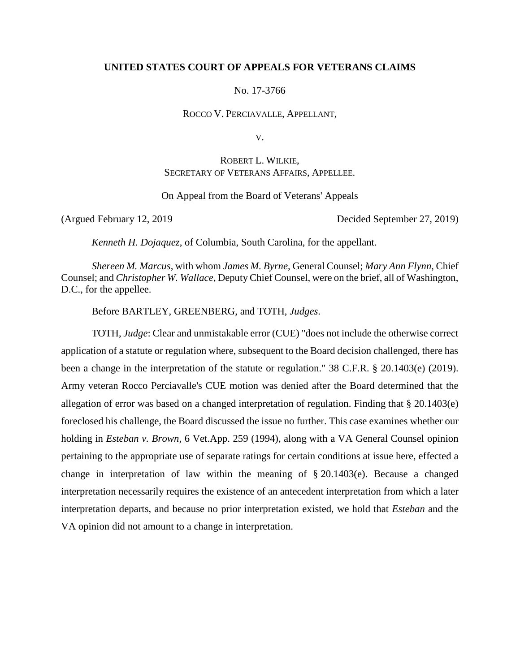# **UNITED STATES COURT OF APPEALS FOR VETERANS CLAIMS**

No. 17-3766

ROCCO V. PERCIAVALLE, APPELLANT,

V.

ROBERT L. WILKIE, SECRETARY OF VETERANS AFFAIRS, APPELLEE.

On Appeal from the Board of Veterans' Appeals

(Argued February 12, 2019 Decided September 27, 2019)

*Kenneth H. Dojaquez*, of Columbia, South Carolina, for the appellant.

*Shereen M. Marcus*, with whom *James M. Byrne*, General Counsel; *Mary Ann Flynn*, Chief Counsel; and *Christopher W. Wallace*, Deputy Chief Counsel, were on the brief, all of Washington, D.C., for the appellee.

Before BARTLEY, GREENBERG, and TOTH, *Judges*.

TOTH, *Judge*: Clear and unmistakable error (CUE) "does not include the otherwise correct application of a statute or regulation where, subsequent to the Board decision challenged, there has been a change in the interpretation of the statute or regulation." 38 C.F.R. § 20.1403(e) (2019). Army veteran Rocco Perciavalle's CUE motion was denied after the Board determined that the allegation of error was based on a changed interpretation of regulation. Finding that § 20.1403(e) foreclosed his challenge, the Board discussed the issue no further. This case examines whether our holding in *Esteban v. Brown*, 6 Vet.App. 259 (1994), along with a VA General Counsel opinion pertaining to the appropriate use of separate ratings for certain conditions at issue here, effected a change in interpretation of law within the meaning of § 20.1403(e). Because a changed interpretation necessarily requires the existence of an antecedent interpretation from which a later interpretation departs, and because no prior interpretation existed, we hold that *Esteban* and the VA opinion did not amount to a change in interpretation.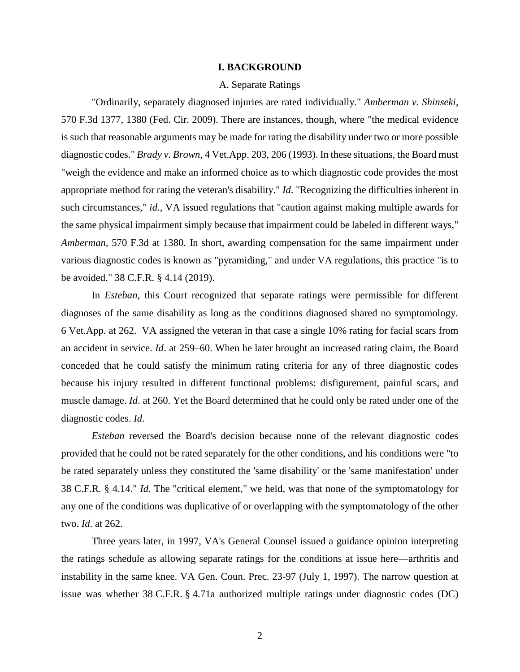## **I. BACKGROUND**

#### A. Separate Ratings

"Ordinarily, separately diagnosed injuries are rated individually." *Amberman v. Shinseki*, 570 F.3d 1377, 1380 (Fed. Cir. 2009). There are instances, though, where "the medical evidence is such that reasonable arguments may be made for rating the disability under two or more possible diagnostic codes." *Brady v. Brown*, 4 Vet.App. 203, 206 (1993). In these situations, the Board must "weigh the evidence and make an informed choice as to which diagnostic code provides the most appropriate method for rating the veteran's disability." *Id*. "Recognizing the difficulties inherent in such circumstances," *id*., VA issued regulations that "caution against making multiple awards for the same physical impairment simply because that impairment could be labeled in different ways," *Amberman*, 570 F.3d at 1380. In short, awarding compensation for the same impairment under various diagnostic codes is known as "pyramiding," and under VA regulations, this practice "is to be avoided." 38 C.F.R. § 4.14 (2019).

In *Esteban*, this Court recognized that separate ratings were permissible for different diagnoses of the same disability as long as the conditions diagnosed shared no symptomology. 6 Vet.App. at 262. VA assigned the veteran in that case a single 10% rating for facial scars from an accident in service. *Id*. at 259–60. When he later brought an increased rating claim, the Board conceded that he could satisfy the minimum rating criteria for any of three diagnostic codes because his injury resulted in different functional problems: disfigurement, painful scars, and muscle damage. *Id*. at 260. Yet the Board determined that he could only be rated under one of the diagnostic codes. *Id*.

*Esteban* reversed the Board's decision because none of the relevant diagnostic codes provided that he could not be rated separately for the other conditions, and his conditions were "to be rated separately unless they constituted the 'same disability' or the 'same manifestation' under 38 C.F.R. § 4.14." *Id*. The "critical element," we held, was that none of the symptomatology for any one of the conditions was duplicative of or overlapping with the symptomatology of the other two. *Id*. at 262.

Three years later, in 1997, VA's General Counsel issued a guidance opinion interpreting the ratings schedule as allowing separate ratings for the conditions at issue here—arthritis and instability in the same knee. VA Gen. Coun. Prec. 23-97 (July 1, 1997). The narrow question at issue was whether 38 C.F.R. § 4.71a authorized multiple ratings under diagnostic codes (DC)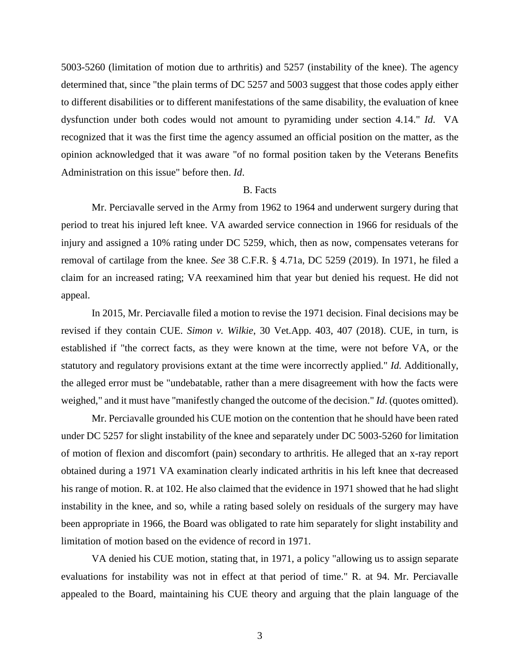5003-5260 (limitation of motion due to arthritis) and 5257 (instability of the knee). The agency determined that, since "the plain terms of DC 5257 and 5003 suggest that those codes apply either to different disabilities or to different manifestations of the same disability, the evaluation of knee dysfunction under both codes would not amount to pyramiding under section 4.14." *Id*. VA recognized that it was the first time the agency assumed an official position on the matter, as the opinion acknowledged that it was aware "of no formal position taken by the Veterans Benefits Administration on this issue" before then. *Id*.

#### B. Facts

Mr. Perciavalle served in the Army from 1962 to 1964 and underwent surgery during that period to treat his injured left knee. VA awarded service connection in 1966 for residuals of the injury and assigned a 10% rating under DC 5259, which, then as now, compensates veterans for removal of cartilage from the knee. *See* 38 C.F.R. § 4.71a, DC 5259 (2019). In 1971, he filed a claim for an increased rating; VA reexamined him that year but denied his request. He did not appeal.

In 2015, Mr. Perciavalle filed a motion to revise the 1971 decision. Final decisions may be revised if they contain CUE. *Simon v. Wilkie*, 30 Vet.App. 403, 407 (2018). CUE, in turn, is established if "the correct facts, as they were known at the time, were not before VA, or the statutory and regulatory provisions extant at the time were incorrectly applied." *Id.* Additionally, the alleged error must be "undebatable, rather than a mere disagreement with how the facts were weighed," and it must have "manifestly changed the outcome of the decision." *Id*. (quotes omitted).

Mr. Perciavalle grounded his CUE motion on the contention that he should have been rated under DC 5257 for slight instability of the knee and separately under DC 5003-5260 for limitation of motion of flexion and discomfort (pain) secondary to arthritis. He alleged that an x-ray report obtained during a 1971 VA examination clearly indicated arthritis in his left knee that decreased his range of motion. R. at 102. He also claimed that the evidence in 1971 showed that he had slight instability in the knee, and so, while a rating based solely on residuals of the surgery may have been appropriate in 1966, the Board was obligated to rate him separately for slight instability and limitation of motion based on the evidence of record in 1971.

VA denied his CUE motion, stating that, in 1971, a policy "allowing us to assign separate evaluations for instability was not in effect at that period of time." R. at 94. Mr. Perciavalle appealed to the Board, maintaining his CUE theory and arguing that the plain language of the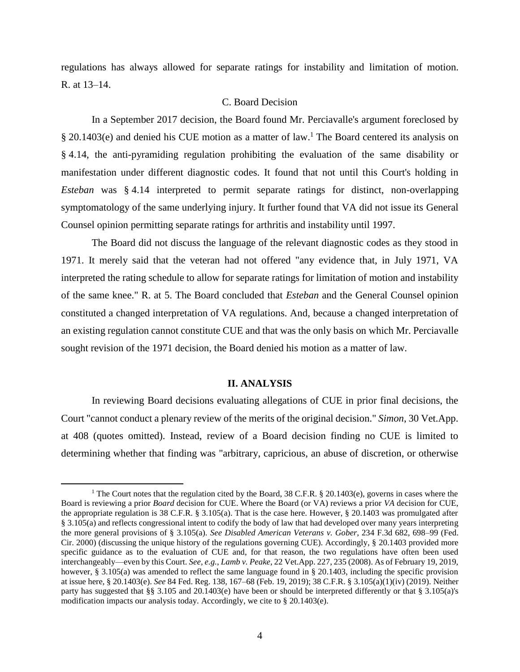regulations has always allowed for separate ratings for instability and limitation of motion. R. at 13–14.

## C. Board Decision

In a September 2017 decision, the Board found Mr. Perciavalle's argument foreclosed by  $\S 20.1403$ (e) and denied his CUE motion as a matter of law.<sup>1</sup> The Board centered its analysis on § 4.14, the anti-pyramiding regulation prohibiting the evaluation of the same disability or manifestation under different diagnostic codes. It found that not until this Court's holding in *Esteban* was § 4.14 interpreted to permit separate ratings for distinct, non-overlapping symptomatology of the same underlying injury. It further found that VA did not issue its General Counsel opinion permitting separate ratings for arthritis and instability until 1997.

The Board did not discuss the language of the relevant diagnostic codes as they stood in 1971. It merely said that the veteran had not offered "any evidence that, in July 1971, VA interpreted the rating schedule to allow for separate ratings for limitation of motion and instability of the same knee." R. at 5. The Board concluded that *Esteban* and the General Counsel opinion constituted a changed interpretation of VA regulations. And, because a changed interpretation of an existing regulation cannot constitute CUE and that was the only basis on which Mr. Perciavalle sought revision of the 1971 decision, the Board denied his motion as a matter of law.

#### **II. ANALYSIS**

In reviewing Board decisions evaluating allegations of CUE in prior final decisions, the Court "cannot conduct a plenary review of the merits of the original decision." *Simon*, 30 Vet.App. at 408 (quotes omitted). Instead, review of a Board decision finding no CUE is limited to determining whether that finding was "arbitrary, capricious, an abuse of discretion, or otherwise

 $\overline{a}$ 

<sup>&</sup>lt;sup>1</sup> The Court notes that the regulation cited by the Board, 38 C.F.R. § 20.1403(e), governs in cases where the Board is reviewing a prior *Board* decision for CUE. Where the Board (or VA) reviews a prior *VA* decision for CUE, the appropriate regulation is 38 C.F.R. § 3.105(a). That is the case here. However, § 20.1403 was promulgated after § 3.105(a) and reflects congressional intent to codify the body of law that had developed over many years interpreting the more general provisions of § 3.105(a). *See Disabled American Veterans v. Gober*, 234 F.3d 682, 698–99 (Fed. Cir. 2000) (discussing the unique history of the regulations governing CUE). Accordingly, § 20.1403 provided more specific guidance as to the evaluation of CUE and, for that reason, the two regulations have often been used interchangeably—even by this Court. *See, e.g.*, *Lamb v. Peake*, 22 Vet.App. 227, 235 (2008). As of February 19, 2019, however, § 3.105(a) was amended to reflect the same language found in § 20.1403, including the specific provision at issue here, § 20.1403(e). *See* 84 Fed. Reg. 138, 167–68 (Feb. 19, 2019); 38 C.F.R. § 3.105(a)(1)(iv) (2019). Neither party has suggested that §§ 3.105 and 20.1403(e) have been or should be interpreted differently or that § 3.105(a)'s modification impacts our analysis today. Accordingly, we cite to § 20.1403(e).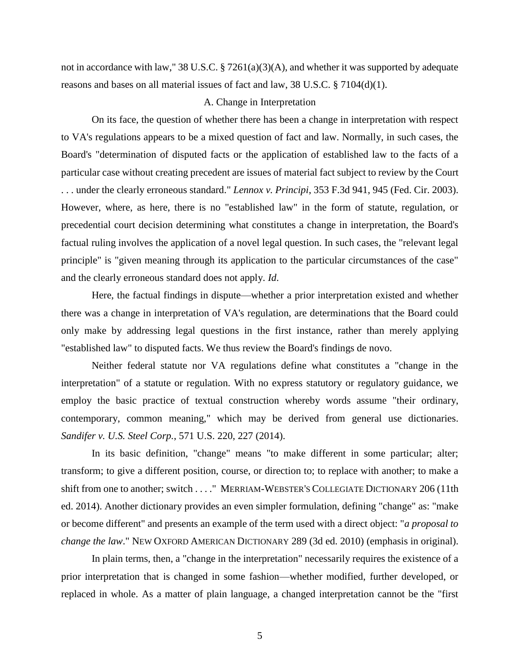not in accordance with law," 38 U.S.C.  $\S 7261(a)(3)(A)$ , and whether it was supported by adequate reasons and bases on all material issues of fact and law, 38 U.S.C. § 7104(d)(1).

## A. Change in Interpretation

On its face, the question of whether there has been a change in interpretation with respect to VA's regulations appears to be a mixed question of fact and law. Normally, in such cases, the Board's "determination of disputed facts or the application of established law to the facts of a particular case without creating precedent are issues of material fact subject to review by the Court . . . under the clearly erroneous standard." *Lennox v. Principi*, 353 F.3d 941, 945 (Fed. Cir. 2003). However, where, as here, there is no "established law" in the form of statute, regulation, or precedential court decision determining what constitutes a change in interpretation, the Board's factual ruling involves the application of a novel legal question. In such cases, the "relevant legal principle" is "given meaning through its application to the particular circumstances of the case" and the clearly erroneous standard does not apply. *Id*.

Here, the factual findings in dispute—whether a prior interpretation existed and whether there was a change in interpretation of VA's regulation, are determinations that the Board could only make by addressing legal questions in the first instance, rather than merely applying "established law" to disputed facts. We thus review the Board's findings de novo.

Neither federal statute nor VA regulations define what constitutes a "change in the interpretation" of a statute or regulation. With no express statutory or regulatory guidance, we employ the basic practice of textual construction whereby words assume "their ordinary, contemporary, common meaning," which may be derived from general use dictionaries. *Sandifer v. U.S. Steel Corp.*, 571 U.S. 220, 227 (2014).

In its basic definition, "change" means "to make different in some particular; alter; transform; to give a different position, course, or direction to; to replace with another; to make a shift from one to another; switch . . . ." MERRIAM-WEBSTER'S COLLEGIATE DICTIONARY 206 (11th ed. 2014). Another dictionary provides an even simpler formulation, defining "change" as: "make or become different" and presents an example of the term used with a direct object: "*a proposal to change the law*." NEW OXFORD AMERICAN DICTIONARY 289 (3d ed. 2010) (emphasis in original).

In plain terms, then, a "change in the interpretation" necessarily requires the existence of a prior interpretation that is changed in some fashion—whether modified, further developed, or replaced in whole. As a matter of plain language, a changed interpretation cannot be the "first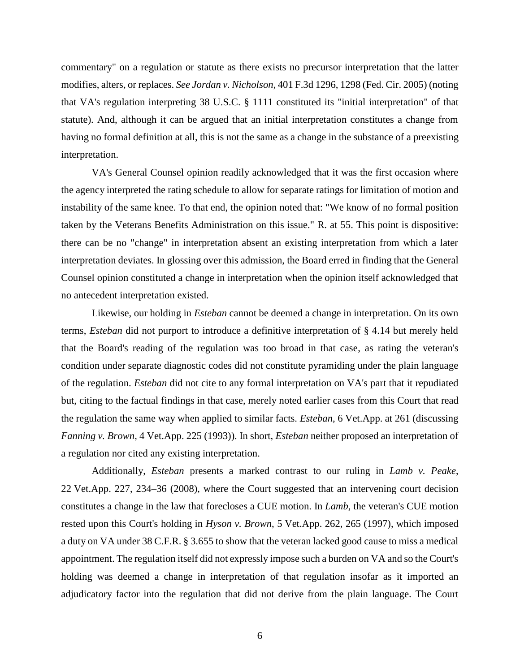commentary" on a regulation or statute as there exists no precursor interpretation that the latter modifies, alters, or replaces. *See Jordan v. Nicholson*, 401 F.3d 1296, 1298 (Fed. Cir. 2005) (noting that VA's regulation interpreting 38 U.S.C. § 1111 constituted its "initial interpretation" of that statute). And, although it can be argued that an initial interpretation constitutes a change from having no formal definition at all, this is not the same as a change in the substance of a preexisting interpretation.

VA's General Counsel opinion readily acknowledged that it was the first occasion where the agency interpreted the rating schedule to allow for separate ratings for limitation of motion and instability of the same knee. To that end, the opinion noted that: "We know of no formal position taken by the Veterans Benefits Administration on this issue." R. at 55. This point is dispositive: there can be no "change" in interpretation absent an existing interpretation from which a later interpretation deviates. In glossing over this admission, the Board erred in finding that the General Counsel opinion constituted a change in interpretation when the opinion itself acknowledged that no antecedent interpretation existed.

Likewise, our holding in *Esteban* cannot be deemed a change in interpretation. On its own terms, *Esteban* did not purport to introduce a definitive interpretation of § 4.14 but merely held that the Board's reading of the regulation was too broad in that case, as rating the veteran's condition under separate diagnostic codes did not constitute pyramiding under the plain language of the regulation. *Esteban* did not cite to any formal interpretation on VA's part that it repudiated but, citing to the factual findings in that case, merely noted earlier cases from this Court that read the regulation the same way when applied to similar facts. *Esteban*, 6 Vet.App. at 261 (discussing *Fanning v. Brown*, 4 Vet.App. 225 (1993)). In short, *Esteban* neither proposed an interpretation of a regulation nor cited any existing interpretation.

Additionally, *Esteban* presents a marked contrast to our ruling in *Lamb v. Peake*, 22 Vet.App. 227, 234–36 (2008), where the Court suggested that an intervening court decision constitutes a change in the law that forecloses a CUE motion. In *Lamb*, the veteran's CUE motion rested upon this Court's holding in *Hyson v. Brown*, 5 Vet.App. 262, 265 (1997), which imposed a duty on VA under 38 C.F.R. § 3.655 to show that the veteran lacked good cause to miss a medical appointment. The regulation itself did not expressly impose such a burden on VA and so the Court's holding was deemed a change in interpretation of that regulation insofar as it imported an adjudicatory factor into the regulation that did not derive from the plain language. The Court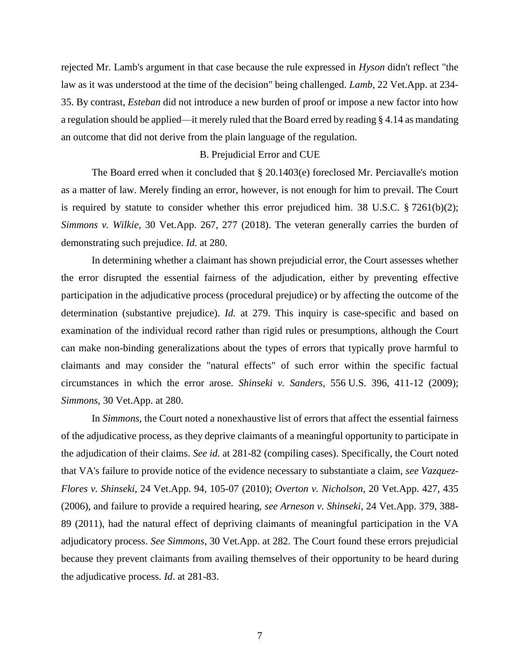rejected Mr. Lamb's argument in that case because the rule expressed in *Hyson* didn't reflect "the law as it was understood at the time of the decision" being challenged. *Lamb*, 22 Vet.App. at 234- 35. By contrast, *Esteban* did not introduce a new burden of proof or impose a new factor into how a regulation should be applied—it merely ruled that the Board erred by reading § 4.14 as mandating an outcome that did not derive from the plain language of the regulation.

## B. Prejudicial Error and CUE

The Board erred when it concluded that § 20.1403(e) foreclosed Mr. Perciavalle's motion as a matter of law. Merely finding an error, however, is not enough for him to prevail. The Court is required by statute to consider whether this error prejudiced him. 38 U.S.C. § 7261(b)(2); *Simmons v. Wilkie*, 30 Vet.App. 267, 277 (2018). The veteran generally carries the burden of demonstrating such prejudice. *Id*. at 280.

In determining whether a claimant has shown prejudicial error, the Court assesses whether the error disrupted the essential fairness of the adjudication, either by preventing effective participation in the adjudicative process (procedural prejudice) or by affecting the outcome of the determination (substantive prejudice). *Id.* at 279. This inquiry is case-specific and based on examination of the individual record rather than rigid rules or presumptions, although the Court can make non-binding generalizations about the types of errors that typically prove harmful to claimants and may consider the "natural effects" of such error within the specific factual circumstances in which the error arose. *Shinseki v. Sanders*, 556 U.S. 396, 411-12 (2009); *Simmons*, 30 Vet.App. at 280.

In *Simmons*, the Court noted a nonexhaustive list of errors that affect the essential fairness of the adjudicative process, as they deprive claimants of a meaningful opportunity to participate in the adjudication of their claims. *See id.* at 281-82 (compiling cases). Specifically, the Court noted that VA's failure to provide notice of the evidence necessary to substantiate a claim, *see Vazquez-Flores v. Shinseki*, 24 Vet.App. 94, 105-07 (2010); *Overton v. Nicholson*, 20 Vet.App. 427, 435 (2006), and failure to provide a required hearing, *see Arneson v. Shinseki*, 24 Vet.App. 379, 388- 89 (2011), had the natural effect of depriving claimants of meaningful participation in the VA adjudicatory process. *See Simmons*, 30 Vet.App. at 282. The Court found these errors prejudicial because they prevent claimants from availing themselves of their opportunity to be heard during the adjudicative process. *Id*. at 281-83.